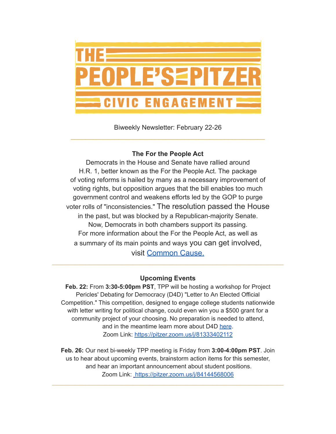

Biweekly Newsletter: February 22-26 \_\_\_\_\_\_\_\_\_\_\_\_\_\_\_\_\_\_\_\_\_\_\_\_\_\_\_\_\_\_\_\_\_\_\_\_\_\_\_\_\_\_\_\_\_\_\_\_\_\_\_\_\_

# **The For the People Act**

Democrats in the House and Senate have rallied around H.R. 1, better known as the For the People Act. The package of voting reforms is hailed by many as a necessary improvement of voting rights, but opposition argues that the bill enables too much government control and weakens efforts led by the GOP to purge voter rolls of "inconsistencies." The resolution passed the House in the past, but was blocked by a Republican-majority Senate. Now, Democrats in both chambers support its passing. For more information about the For the People Act, as well as a summary of its main points and ways you can get involved, visit [Common](https://www.commoncause.org/our-work/constitution-courts-and-democracy-issues/for-the-people-act/#) Cause.

## **Upcoming Events**

\_\_\_\_\_\_\_\_\_\_\_\_\_\_\_\_\_\_\_\_\_\_\_\_\_\_\_\_\_\_\_\_\_\_\_\_\_\_\_\_\_\_\_\_\_\_\_\_\_\_\_\_\_\_\_\_\_\_\_\_\_\_\_\_\_\_\_\_\_

**Feb. 22:** From **3:30-5:00pm PST**, TPP will be hosting a workshop for Project Pericles' Debating for Democracy (D4D) "Letter to An Elected Official Competition." This competition, designed to engage college students nationwide with letter writing for political change, could even win you a \$500 grant for a community project of your choosing. No preparation is needed to attend, and in the meantime learn more about D4D [here](https://www.projectpericles.org/debating-for-democracy-d4d.html). Zoom Link: <https://pitzer.zoom.us/j/81333402112>

**Feb. 26:** Our next bi-weekly TPP meeting is Friday from **3:00-4:00pm PST**. Join us to hear about upcoming events, brainstorm action items for this semester, and hear an important announcement about student positions. Zoom Link: <https://pitzer.zoom.us/j/84144568006>

\_\_\_\_\_\_\_\_\_\_\_\_\_\_\_\_\_\_\_\_\_\_\_\_\_\_\_\_\_\_\_\_\_\_\_\_\_\_\_\_\_\_\_\_\_\_\_\_\_\_\_\_\_\_\_\_\_\_\_\_\_\_\_\_\_\_\_\_\_